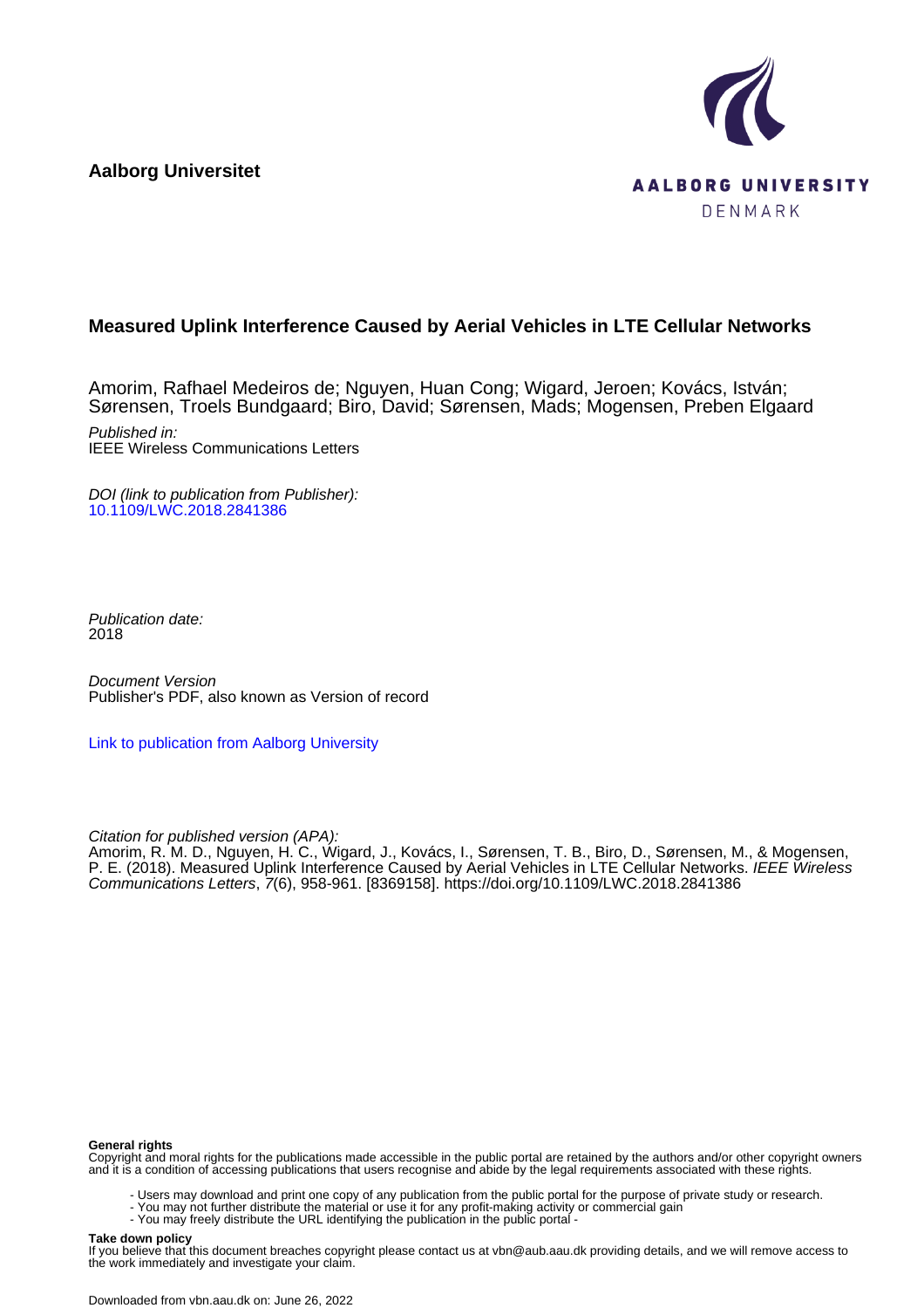**Aalborg Universitet**



# **Measured Uplink Interference Caused by Aerial Vehicles in LTE Cellular Networks**

Amorim, Rafhael Medeiros de; Nguyen, Huan Cong; Wigard, Jeroen; Kovács, István; Sørensen, Troels Bundgaard; Biro, David; Sørensen, Mads; Mogensen, Preben Elgaard Published in: IEEE Wireless Communications Letters

DOI (link to publication from Publisher): [10.1109/LWC.2018.2841386](https://doi.org/10.1109/LWC.2018.2841386)

Publication date: 2018

Document Version Publisher's PDF, also known as Version of record

[Link to publication from Aalborg University](https://vbn.aau.dk/en/publications/a4c1ec1e-7c2c-4135-8341-55d9519eecd0)

Citation for published version (APA):

Amorim, R. M. D., Nguyen, H. C., Wigard, J., Kovács, I., Sørensen, T. B., Biro, D., Sørensen, M., & Mogensen, P. E. (2018). Measured Uplink Interference Caused by Aerial Vehicles in LTE Cellular Networks. *IEEE Wireless* Communications Letters, 7(6), 958-961. [8369158]. <https://doi.org/10.1109/LWC.2018.2841386>

### **General rights**

Copyright and moral rights for the publications made accessible in the public portal are retained by the authors and/or other copyright owners and it is a condition of accessing publications that users recognise and abide by the legal requirements associated with these rights.

- Users may download and print one copy of any publication from the public portal for the purpose of private study or research.
- You may not further distribute the material or use it for any profit-making activity or commercial gain
	- You may freely distribute the URL identifying the publication in the public portal -

#### **Take down policy**

If you believe that this document breaches copyright please contact us at vbn@aub.aau.dk providing details, and we will remove access to the work immediately and investigate your claim.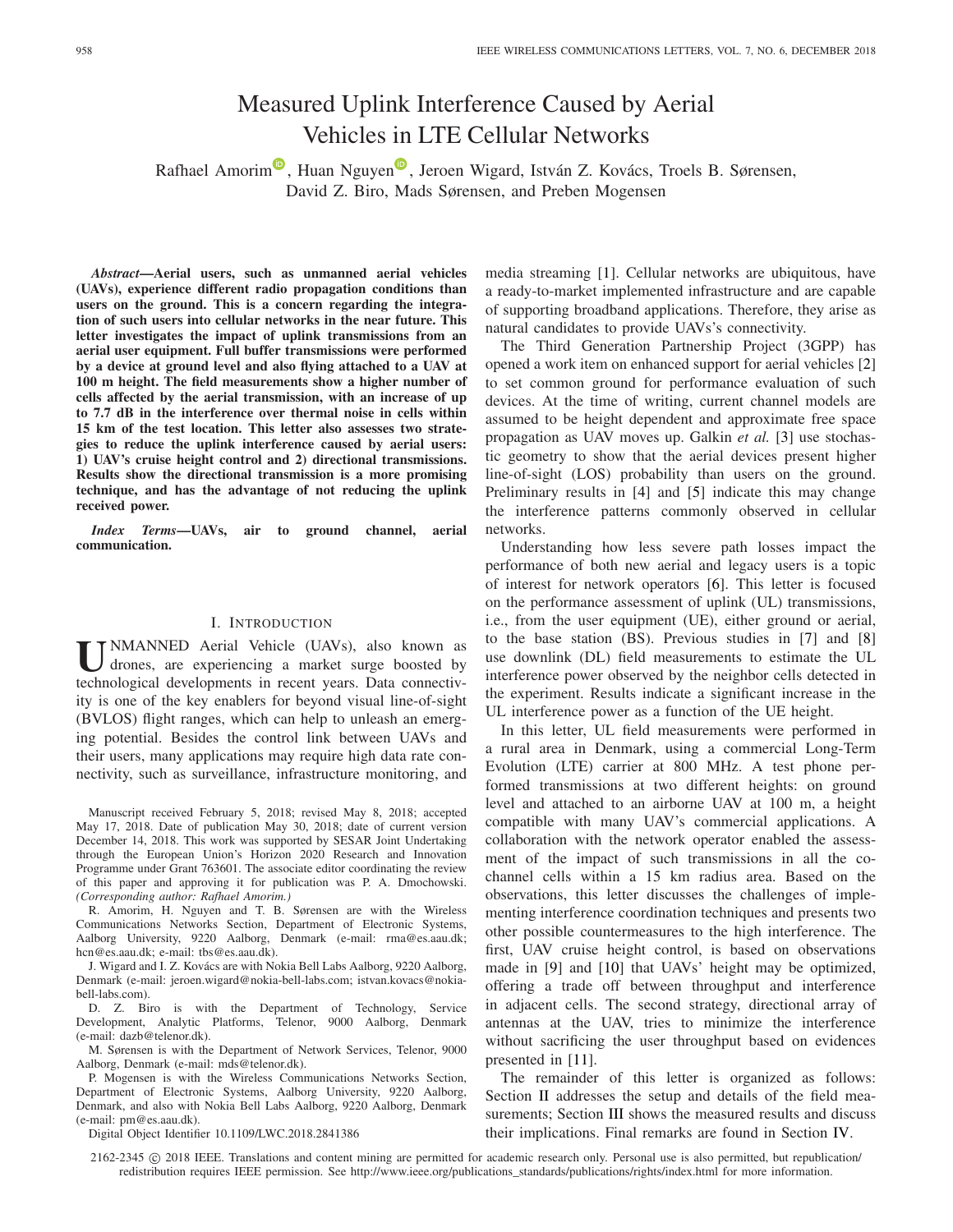# Measured Uplink Interference Caused by Aerial Vehicles in LTE Cellular Networks

Rafhael A[m](https://orcid.org/0000-0003-0757-0850)orim<sup>®</sup>, Hua[n](https://orcid.org/0000-0001-6408-2058) Nguyen<sup>®</sup>, Jeroen Wigard, István Z. Kovács, Troels B. Sørensen, David Z. Biro, Mads Sørensen, and Preben Mogensen

*Abstract***—Aerial users, such as unmanned aerial vehicles (UAVs), experience different radio propagation conditions than users on the ground. This is a concern regarding the integration of such users into cellular networks in the near future. This letter investigates the impact of uplink transmissions from an aerial user equipment. Full buffer transmissions were performed by a device at ground level and also flying attached to a UAV at 100 m height. The field measurements show a higher number of cells affected by the aerial transmission, with an increase of up to 7.7 dB in the interference over thermal noise in cells within 15 km of the test location. This letter also assesses two strategies to reduce the uplink interference caused by aerial users: 1) UAV's cruise height control and 2) directional transmissions. Results show the directional transmission is a more promising technique, and has the advantage of not reducing the uplink received power.**

*Index Terms***—UAVs, air to ground channel, aerial communication.**

# I. INTRODUCTION

**U**NMANNED Aerial Vehicle (UAVs), also known as drones, are experiencing a market surge boosted by technological developments in recent years. Data connectivity is one of the key enablers for beyond visual line-of-sight (BVLOS) flight ranges, which can help to unleash an emerging potential. Besides the control link between UAVs and their users, many applications may require high data rate connectivity, such as surveillance, infrastructure monitoring, and

Manuscript received February 5, 2018; revised May 8, 2018; accepted May 17, 2018. Date of publication May 30, 2018; date of current version December 14, 2018. This work was supported by SESAR Joint Undertaking through the European Union's Horizon 2020 Research and Innovation Programme under Grant 763601. The associate editor coordinating the review of this paper and approving it for publication was P. A. Dmochowski. *(Corresponding author: Rafhael Amorim.)*

R. Amorim, H. Nguyen and T. B. Sørensen are with the Wireless Communications Networks Section, Department of Electronic Systems, Aalborg University, 9220 Aalborg, Denmark (e-mail: rma@es.aau.dk; hcn@es.aau.dk; e-mail: tbs@es.aau.dk).

J. Wigard and I. Z. Kovács are with Nokia Bell Labs Aalborg, 9220 Aalborg, Denmark (e-mail: jeroen.wigard@nokia-bell-labs.com; istvan.kovacs@nokiabell-labs.com).

D. Z. Biro is with the Department of Technology, Service Development, Analytic Platforms, Telenor, 9000 Aalborg, Denmark (e-mail: dazb@telenor.dk).

M. Sørensen is with the Department of Network Services, Telenor, 9000 Aalborg, Denmark (e-mail: mds@telenor.dk).

P. Mogensen is with the Wireless Communications Networks Section, Department of Electronic Systems, Aalborg University, 9220 Aalborg, Denmark, and also with Nokia Bell Labs Aalborg, 9220 Aalborg, Denmark (e-mail: pm@es.aau.dk).

Digital Object Identifier 10.1109/LWC.2018.2841386

media streaming [\[1\]](#page-4-0). Cellular networks are ubiquitous, have a ready-to-market implemented infrastructure and are capable of supporting broadband applications. Therefore, they arise as natural candidates to provide UAVs's connectivity.

The Third Generation Partnership Project (3GPP) has opened a work item on enhanced support for aerial vehicles [\[2\]](#page-4-1) to set common ground for performance evaluation of such devices. At the time of writing, current channel models are assumed to be height dependent and approximate free space propagation as UAV moves up. Galkin *et al.* [\[3\]](#page-4-2) use stochastic geometry to show that the aerial devices present higher line-of-sight (LOS) probability than users on the ground. Preliminary results in [\[4\]](#page-4-3) and [\[5\]](#page-4-4) indicate this may change the interference patterns commonly observed in cellular networks.

Understanding how less severe path losses impact the performance of both new aerial and legacy users is a topic of interest for network operators [\[6\]](#page-4-5). This letter is focused on the performance assessment of uplink (UL) transmissions, i.e., from the user equipment (UE), either ground or aerial, to the base station (BS). Previous studies in [\[7\]](#page-4-6) and [\[8\]](#page-4-7) use downlink (DL) field measurements to estimate the UL interference power observed by the neighbor cells detected in the experiment. Results indicate a significant increase in the UL interference power as a function of the UE height.

In this letter, UL field measurements were performed in a rural area in Denmark, using a commercial Long-Term Evolution (LTE) carrier at 800 MHz. A test phone performed transmissions at two different heights: on ground level and attached to an airborne UAV at 100 m, a height compatible with many UAV's commercial applications. A collaboration with the network operator enabled the assessment of the impact of such transmissions in all the cochannel cells within a 15 km radius area. Based on the observations, this letter discusses the challenges of implementing interference coordination techniques and presents two other possible countermeasures to the high interference. The first, UAV cruise height control, is based on observations made in [\[9\]](#page-4-8) and [\[10\]](#page-4-9) that UAVs' height may be optimized, offering a trade off between throughput and interference in adjacent cells. The second strategy, directional array of antennas at the UAV, tries to minimize the interference without sacrificing the user throughput based on evidences presented in [\[11\]](#page-4-10).

The remainder of this letter is organized as follows: Section [II](#page-2-0) addresses the setup and details of the field mea-surements; Section [III](#page-2-1) shows the measured results and discuss their implications. Final remarks are found in Section [IV.](#page-4-11)

2162-2345 © 2018 IEEE. Translations and content mining are permitted for academic research only. Personal use is also permitted, but republication/ redistribution requires IEEE permission. See http://www.ieee.org/publications\_standards/publications/rights/index.html for more information.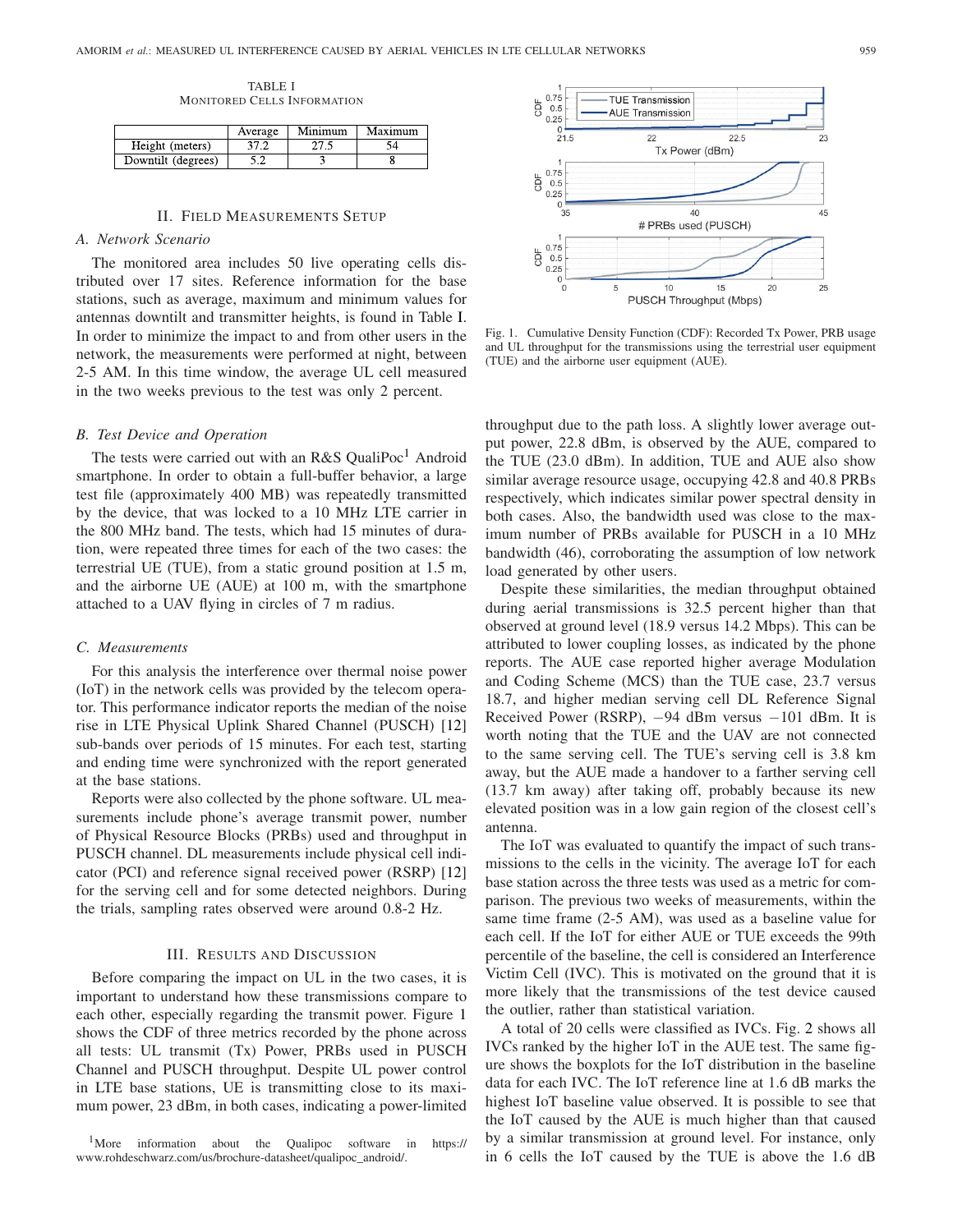TABLE I MONITORED CELLS INFORMATION

<span id="page-2-2"></span>

|                    | Average | Minimum | Maximum |
|--------------------|---------|---------|---------|
| Height (meters)    |         |         |         |
| Downtilt (degrees) |         |         |         |

#### II. FIELD MEASUREMENTS SETUP

# <span id="page-2-0"></span>*A. Network Scenario*

The monitored area includes 50 live operating cells distributed over 17 sites. Reference information for the base stations, such as average, maximum and minimum values for antennas downtilt and transmitter heights, is found in Table [I.](#page-2-2) In order to minimize the impact to and from other users in the network, the measurements were performed at night, between 2-5 AM. In this time window, the average UL cell measured in the two weeks previous to the test was only 2 percent.

# *B. Test Device and Operation*

The tests were carried out with an R&S QualiPoc<sup>1</sup> Android smartphone. In order to obtain a full-buffer behavior, a large test file (approximately 400 MB) was repeatedly transmitted by the device, that was locked to a 10 MHz LTE carrier in the 800 MHz band. The tests, which had 15 minutes of duration, were repeated three times for each of the two cases: the terrestrial UE (TUE), from a static ground position at 1.5 m, and the airborne UE (AUE) at 100 m, with the smartphone attached to a UAV flying in circles of 7 m radius.

# *C. Measurements*

For this analysis the interference over thermal noise power (IoT) in the network cells was provided by the telecom operator. This performance indicator reports the median of the noise rise in LTE Physical Uplink Shared Channel (PUSCH) [\[12\]](#page-4-12) sub-bands over periods of 15 minutes. For each test, starting and ending time were synchronized with the report generated at the base stations.

Reports were also collected by the phone software. UL measurements include phone's average transmit power, number of Physical Resource Blocks (PRBs) used and throughput in PUSCH channel. DL measurements include physical cell indicator (PCI) and reference signal received power (RSRP) [\[12\]](#page-4-12) for the serving cell and for some detected neighbors. During the trials, sampling rates observed were around 0.8-2 Hz.

### III. RESULTS AND DISCUSSION

<span id="page-2-1"></span>Before comparing the impact on UL in the two cases, it is important to understand how these transmissions compare to each other, especially regarding the transmit power. Figure [1](#page-2-4) shows the CDF of three metrics recorded by the phone across all tests: UL transmit (Tx) Power, PRBs used in PUSCH Channel and PUSCH throughput. Despite UL power control in LTE base stations, UE is transmitting close to its maximum power, 23 dBm, in both cases, indicating a power-limited

<span id="page-2-3"></span>1More information about the Qualipoc software in https:// www.rohdeschwarz.com/us/brochure-datasheet/qualipoc\_android/.



<span id="page-2-4"></span>Fig. 1. Cumulative Density Function (CDF): Recorded Tx Power, PRB usage and UL throughput for the transmissions using the terrestrial user equipment (TUE) and the airborne user equipment (AUE).

throughput due to the path loss. A slightly lower average output power, 22.8 dBm, is observed by the AUE, compared to the TUE (23.0 dBm). In addition, TUE and AUE also show similar average resource usage, occupying 42.8 and 40.8 PRBs respectively, which indicates similar power spectral density in both cases. Also, the bandwidth used was close to the maximum number of PRBs available for PUSCH in a 10 MHz bandwidth (46), corroborating the assumption of low network load generated by other users.

Despite these similarities, the median throughput obtained during aerial transmissions is 32.5 percent higher than that observed at ground level (18.9 versus 14.2 Mbps). This can be attributed to lower coupling losses, as indicated by the phone reports. The AUE case reported higher average Modulation and Coding Scheme (MCS) than the TUE case, 23.7 versus 18.7, and higher median serving cell DL Reference Signal Received Power (RSRP), *−*94 dBm versus *−*101 dBm. It is worth noting that the TUE and the UAV are not connected to the same serving cell. The TUE's serving cell is 3.8 km away, but the AUE made a handover to a farther serving cell (13.7 km away) after taking off, probably because its new elevated position was in a low gain region of the closest cell's antenna.

The IoT was evaluated to quantify the impact of such transmissions to the cells in the vicinity. The average IoT for each base station across the three tests was used as a metric for comparison. The previous two weeks of measurements, within the same time frame (2-5 AM), was used as a baseline value for each cell. If the IoT for either AUE or TUE exceeds the 99th percentile of the baseline, the cell is considered an Interference Victim Cell (IVC). This is motivated on the ground that it is more likely that the transmissions of the test device caused the outlier, rather than statistical variation.

A total of 20 cells were classified as IVCs. Fig. [2](#page-3-0) shows all IVCs ranked by the higher IoT in the AUE test. The same figure shows the boxplots for the IoT distribution in the baseline data for each IVC. The IoT reference line at 1.6 dB marks the highest IoT baseline value observed. It is possible to see that the IoT caused by the AUE is much higher than that caused by a similar transmission at ground level. For instance, only in 6 cells the IoT caused by the TUE is above the 1.6 dB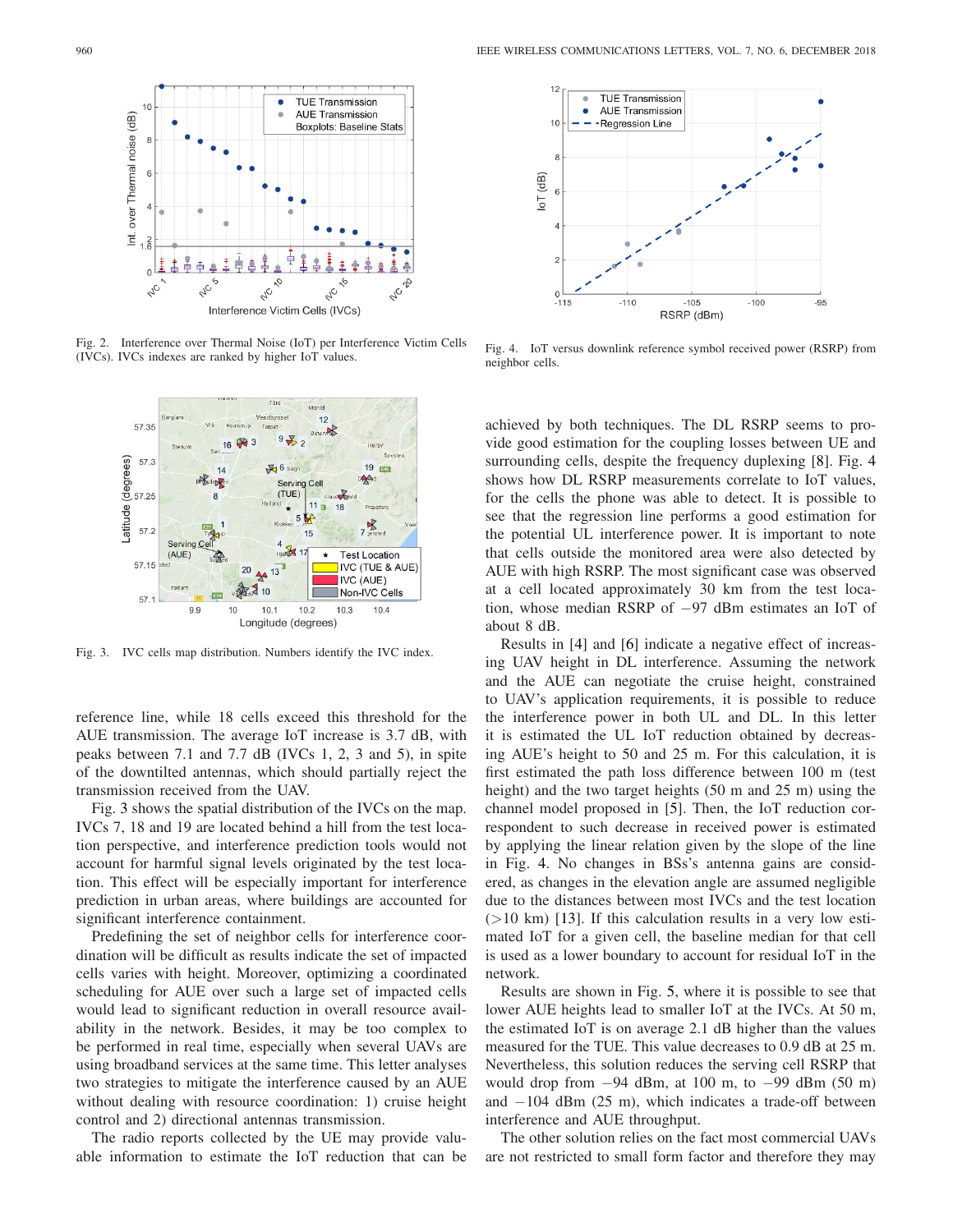

Fig. 2. Interference over Thermal Noise (IoT) per Interference Victim Cells (IVCs). IVCs indexes are ranked by higher IoT values.

<span id="page-3-0"></span>

<span id="page-3-1"></span>Fig. 3. IVC cells map distribution. Numbers identify the IVC index.

reference line, while 18 cells exceed this threshold for the AUE transmission. The average IoT increase is 3.7 dB, with peaks between 7.1 and 7.7 dB (IVCs 1, 2, 3 and 5), in spite of the downtilted antennas, which should partially reject the transmission received from the UAV.

Fig. [3](#page-3-1) shows the spatial distribution of the IVCs on the map. IVCs 7, 18 and 19 are located behind a hill from the test location perspective, and interference prediction tools would not account for harmful signal levels originated by the test location. This effect will be especially important for interference prediction in urban areas, where buildings are accounted for significant interference containment.

Predefining the set of neighbor cells for interference coordination will be difficult as results indicate the set of impacted cells varies with height. Moreover, optimizing a coordinated scheduling for AUE over such a large set of impacted cells would lead to significant reduction in overall resource availability in the network. Besides, it may be too complex to be performed in real time, especially when several UAVs are using broadband services at the same time. This letter analyses two strategies to mitigate the interference caused by an AUE without dealing with resource coordination: 1) cruise height control and 2) directional antennas transmission.

The radio reports collected by the UE may provide valuable information to estimate the IoT reduction that can be



<span id="page-3-2"></span>Fig. 4. IoT versus downlink reference symbol received power (RSRP) from neighbor cells.

achieved by both techniques. The DL RSRP seems to provide good estimation for the coupling losses between UE and surrounding cells, despite the frequency duplexing [\[8\]](#page-4-7). Fig. [4](#page-3-2) shows how DL RSRP measurements correlate to IoT values, for the cells the phone was able to detect. It is possible to see that the regression line performs a good estimation for the potential UL interference power. It is important to note that cells outside the monitored area were also detected by AUE with high RSRP. The most significant case was observed at a cell located approximately 30 km from the test location, whose median RSRP of *−*97 dBm estimates an IoT of about 8 dB.

Results in [\[4\]](#page-4-3) and [\[6\]](#page-4-5) indicate a negative effect of increasing UAV height in DL interference. Assuming the network and the AUE can negotiate the cruise height, constrained to UAV's application requirements, it is possible to reduce the interference power in both UL and DL. In this letter it is estimated the UL IoT reduction obtained by decreasing AUE's height to 50 and 25 m. For this calculation, it is first estimated the path loss difference between 100 m (test height) and the two target heights (50 m and 25 m) using the channel model proposed in [\[5\]](#page-4-4). Then, the IoT reduction correspondent to such decrease in received power is estimated by applying the linear relation given by the slope of the line in Fig. [4.](#page-3-2) No changes in BSs's antenna gains are considered, as changes in the elevation angle are assumed negligible due to the distances between most IVCs and the test location  $(>10 \text{ km})$  [\[13\]](#page-4-13). If this calculation results in a very low estimated IoT for a given cell, the baseline median for that cell is used as a lower boundary to account for residual IoT in the network.

Results are shown in Fig. [5,](#page-4-14) where it is possible to see that lower AUE heights lead to smaller IoT at the IVCs. At 50 m, the estimated IoT is on average 2.1 dB higher than the values measured for the TUE. This value decreases to 0.9 dB at 25 m. Nevertheless, this solution reduces the serving cell RSRP that would drop from *−*94 dBm, at 100 m, to *−*99 dBm (50 m) and *−*104 dBm (25 m), which indicates a trade-off between interference and AUE throughput.

The other solution relies on the fact most commercial UAVs are not restricted to small form factor and therefore they may